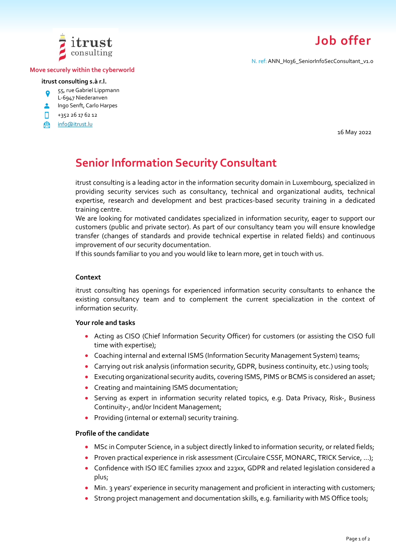

#### **Move securely within the cyberworld**

#### **itrust consulting s.à r.l.**

- 55, rue Gabriel Lippmann
- L-6947 Niederanven
- **Ingo Senft, Carlo Harpes**
- n. +352 26 17 62 12
- **A** [info@itrust.lu](mailto:info@itrust.lu)

16 May 2022

**Job offer**

N. ref: ANN\_H036\_SeniorInfoSecConsultant\_v1.0

# **Senior Information Security Consultant**

itrust consulting is a leading actor in the information security domain in Luxembourg, specialized in providing security services such as consultancy, technical and organizational audits, technical expertise, research and development and best practices-based security training in a dedicated training centre.

We are looking for motivated candidates specialized in information security, eager to support our customers (public and private sector). As part of our consultancy team you will ensure knowledge transfer (changes of standards and provide technical expertise in related fields) and continuous improvement of our security documentation.

If this sounds familiar to you and you would like to learn more, get in touch with us.

#### **Context**

itrust consulting has openings for experienced information security consultants to enhance the existing consultancy team and to complement the current specialization in the context of information security.

### **Your role and tasks**

- Acting as CISO (Chief Information Security Officer) for customers (or assisting the CISO full time with expertise);
- Coaching internal and external ISMS (Information Security Management System) teams;
- Carrying out risk analysis (information security, GDPR, business continuity, etc.) using tools;
- Executing organizational security audits, covering ISMS, PIMS or BCMS is considered an asset;
- Creating and maintaining ISMS documentation;
- Serving as expert in information security related topics, e.g. Data Privacy, Risk-, Business Continuity-, and/or Incident Management;
- Providing (internal or external) security training.

## **Profile of the candidate**

- MSc in Computer Science, in a subject directly linked to information security, or related fields;
- Proven practical experience in risk assessment (Circulaire CSSF, MONARC, TRICK Service, ...);
- Confidence with ISO IEC families 27xxx and 223xx, GDPR and related legislation considered a plus;
- Min. 3 years' experience in security management and proficient in interacting with customers;
- Strong project management and documentation skills, e.g. familiarity with MS Office tools;